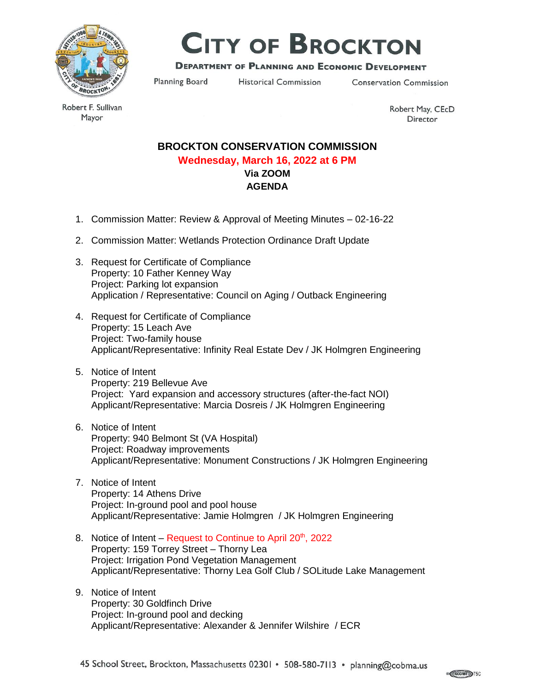

# **CITY OF BROCKTON**

## **DEPARTMENT OF PLANNING AND ECONOMIC DEVELOPMENT**

Planning Board

**Historical Commission** 

**Conservation Commission** 

Robert F. Sullivan Mayor

Robert May, CEcD Director

## **BROCKTON CONSERVATION COMMISSION Wednesday, March 16, 2022 at 6 PM Via ZOOM AGENDA**

- 1. Commission Matter: Review & Approval of Meeting Minutes 02-16-22
- 2. Commission Matter: Wetlands Protection Ordinance Draft Update
- 3. Request for Certificate of Compliance Property: 10 Father Kenney Way Project: Parking lot expansion Application / Representative: Council on Aging / Outback Engineering
- 4. Request for Certificate of Compliance Property: 15 Leach Ave Project: Two-family house Applicant/Representative: Infinity Real Estate Dev / JK Holmgren Engineering
- 5. Notice of Intent Property: 219 Bellevue Ave Project: Yard expansion and accessory structures (after-the-fact NOI) Applicant/Representative: Marcia Dosreis / JK Holmgren Engineering
- 6. Notice of Intent Property: 940 Belmont St (VA Hospital) Project: Roadway improvements Applicant/Representative: Monument Constructions / JK Holmgren Engineering
- 7. Notice of Intent Property: 14 Athens Drive Project: In-ground pool and pool house Applicant/Representative: Jamie Holmgren / JK Holmgren Engineering
- 8. Notice of Intent Request to Continue to April  $20<sup>th</sup>$ , 2022 Property: 159 Torrey Street – Thorny Lea Project: Irrigation Pond Vegetation Management Applicant/Representative: Thorny Lea Golf Club / SOLitude Lake Management
- 9. Notice of Intent Property: 30 Goldfinch Drive Project: In-ground pool and decking Applicant/Representative: Alexander & Jennifer Wilshire / ECR